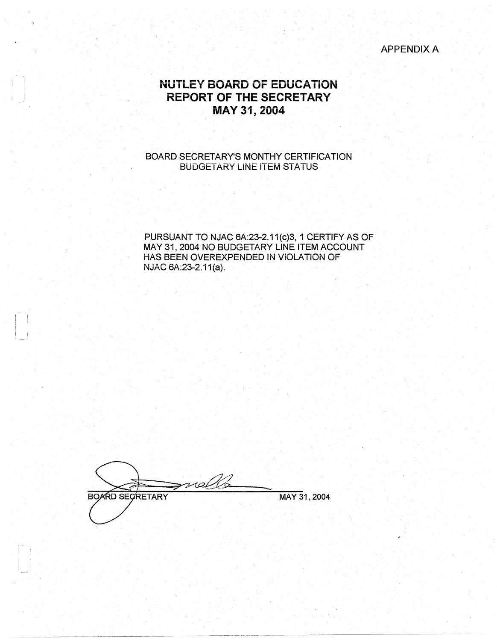APPENDiXA

## **NUTLEY BOARD OF EDUCATION REPORT OF THE SECRETARY MAY 31, 2004**

#### BOARD SECRETARY'S MONTHY CERTIFICATION BUDGETARY LINE ITEM STATUS

PURSUANT TO NJAC 6A:23-2.11(c)3, 1 CERTIFY AS OF MAY 31, 2004 NO BUDGETARY LINE ITEM ACCOUNT HAS BEEN OVEREXPENDED IN VIOLATION OF NJAC 6A:23-2.11(a).

volb 200 **BOARD SECRETARY** MAY 31, 2004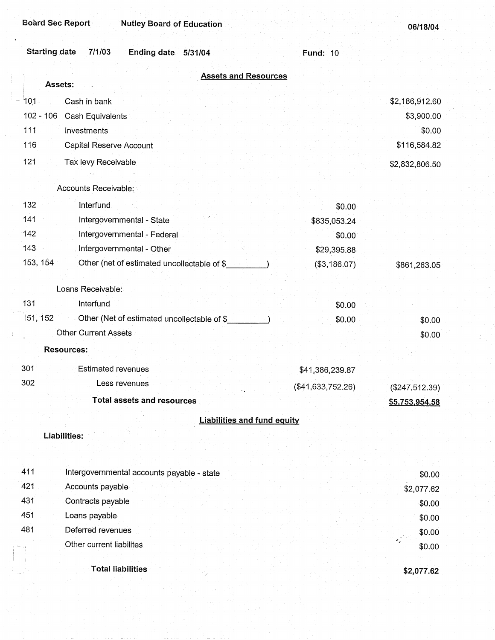|        | <b>Starting date</b><br>7/1/03<br>Ending date 5/31/04            |                                    | <b>Fund: 10</b>   |                  |
|--------|------------------------------------------------------------------|------------------------------------|-------------------|------------------|
|        | Assets:                                                          | <b>Assets and Resources</b>        |                   |                  |
| $-101$ | Cash in bank                                                     |                                    |                   | \$2,186,912.60   |
|        | $102 - 106$<br>Cash Equivalents                                  |                                    |                   | \$3,900.00       |
|        | 111<br>Investments                                               |                                    |                   | \$0.00           |
|        | 116<br>Capital Reserve Account                                   |                                    |                   | \$116,584.82     |
|        |                                                                  |                                    |                   |                  |
|        | 121<br>Tax levy Receivable                                       |                                    |                   | \$2,832,806.50   |
|        | Accounts Receivable:                                             |                                    |                   |                  |
|        | 132<br>Interfund                                                 |                                    | \$0.00            |                  |
|        | 141<br>Intergovernmental - State                                 |                                    | \$835,053.24      |                  |
|        | 142<br>Intergovernmental - Federal                               |                                    | \$0.00            |                  |
|        | 143<br>Intergovernmental - Other                                 |                                    | \$29,395.88       |                  |
|        | 153, 154<br>Other (net of estimated uncollectable of \$          |                                    | (\$3,186.07)      | \$861,263.05     |
|        |                                                                  |                                    |                   |                  |
|        | Loans Receivable:                                                |                                    |                   |                  |
|        | 131<br>Interfund                                                 |                                    | \$0.00            |                  |
|        | $ 51, 152\rangle$<br>Other (Net of estimated uncollectable of \$ |                                    | \$0.00            | \$0.00           |
|        | <b>Other Current Assets</b>                                      |                                    |                   | \$0.00           |
|        | <b>Resources:</b>                                                |                                    |                   |                  |
|        | 301<br><b>Estimated revenues</b>                                 |                                    | \$41,386,239.87   |                  |
|        | 302<br>Less revenues                                             |                                    | (\$41,633,752.26) | $(\$247,512.39)$ |
|        | <b>Total assets and resources</b>                                |                                    |                   | \$5,753,954.58   |
|        |                                                                  | <b>Liabilities and fund equity</b> |                   |                  |
|        |                                                                  |                                    |                   |                  |
|        | Liabilities:                                                     |                                    |                   |                  |
|        |                                                                  |                                    |                   |                  |
|        | 411<br>Intergovernmental accounts payable - state                |                                    |                   | \$0.00           |
|        | 421<br>Accounts payable                                          |                                    |                   | \$2,077.62       |
|        | 431<br>Contracts payable                                         |                                    |                   | \$0.00           |
|        | 451<br>Loans payable                                             |                                    |                   | \$0.00           |
|        | 481<br>Deferred revenues                                         |                                    |                   | \$0.00           |
|        |                                                                  |                                    |                   |                  |

Other current liabilites

**Total liabilities** 

**\$2,077.62** 

\$0.00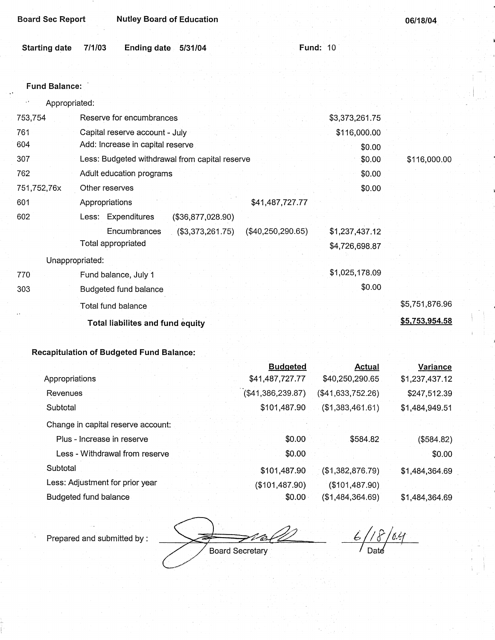| <b>Board Sec Report</b>    | <b>Nutley Board of Education</b>               |                     |                | 06/18/04       |
|----------------------------|------------------------------------------------|---------------------|----------------|----------------|
| <b>Starting date</b>       | 7/1/03<br>Ending date 5/31/04                  | <b>Fund: 10</b>     |                |                |
|                            |                                                |                     |                |                |
| <b>Fund Balance:</b>       |                                                |                     |                |                |
| Appropriated:<br>$, \cdot$ |                                                |                     |                |                |
| 753,754                    | Reserve for encumbrances                       |                     | \$3,373,261.75 |                |
| 761                        | Capital reserve account - July                 |                     | \$116,000.00   |                |
| 604                        | Add: Increase in capital reserve               |                     | \$0.00         |                |
| 307                        | Less: Budgeted withdrawal from capital reserve |                     | \$0.00         | \$116,000.00   |
| 762                        | Adult education programs                       |                     | \$0.00         |                |
| 751,752,76x                | Other reserves                                 |                     | \$0.00         |                |
| 601                        | Appropriations                                 | \$41,487,727.77     |                |                |
| 602                        | Less: Expenditures<br>(\$36,877,028.90)        |                     |                |                |
|                            | Encumbrances<br>(\$3,373,261.75)               | $(\$40,250,290.65)$ | \$1,237,437.12 |                |
|                            | Total appropriated                             |                     | \$4,726,698.87 |                |
| Unappropriated:            |                                                |                     |                |                |
| 770                        | Fund balance, July 1                           |                     | \$1,025,178.09 |                |
| 303                        | Budgeted fund balance                          |                     | \$0.00         |                |
|                            | Total fund balance                             |                     |                | \$5,751,876.96 |
|                            | <b>Total liabilites and fund equity</b>        |                     |                | \$5,753,954.58 |
|                            |                                                |                     |                |                |

|                                    | <b>Budgeted</b>      | <b>Actual</b>     | Variance       |
|------------------------------------|----------------------|-------------------|----------------|
| Appropriations                     | \$41,487,727.77      | \$40,250,290.65   | \$1,237,437.12 |
| Revenues                           | $($ \$41,386,239.87) | (\$41,633,752.26) | \$247,512.39   |
| Subtotal                           | \$101,487.90         | (\$1,383,461.61)  | \$1,484,949.51 |
| Change in capital reserve account: |                      |                   |                |
| Plus - Increase in reserve         | \$0.00               | \$584.82          | $($ \$584.82)  |
| Less - Withdrawal from reserve     | \$0.00               |                   | \$0.00         |
| Subtotal                           | \$101,487.90         | (\$1,382,876.79)  | \$1,484,364.69 |
| Less: Adjustment for prior year    | (\$101,487.90)       | (\$101,487.90)    |                |
| Budgeted fund balance              | \$0.00               | (\$1,484,364.69)  | \$1,484,364.69 |

Prepared and submitted by :

B.

 $6/18/0.4$  $\sqrt{2}$  Date

Board Secretary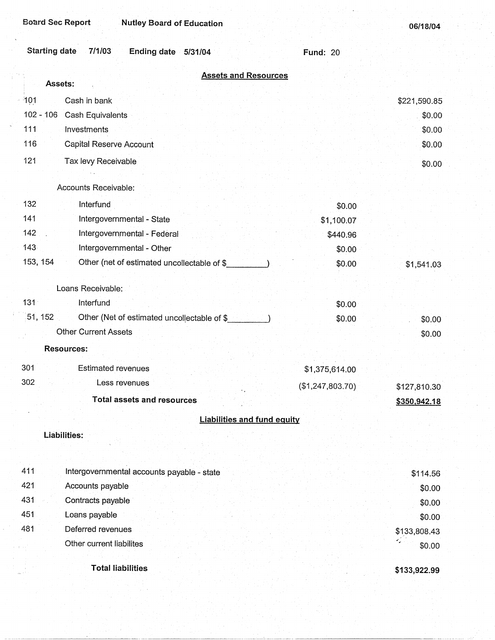| <b>Starting date</b><br>7/1/03<br>Ending date 5/31/04   | <b>Fund: 20</b>  |                  |
|---------------------------------------------------------|------------------|------------------|
| <b>Assets and Resources</b><br>Assets:                  |                  |                  |
|                                                         |                  |                  |
| 101<br>Cash in bank<br>J.<br>$102 - 106$                |                  | \$221,590.85     |
| Cash Equivalents<br>111<br>Investments                  |                  | \$0.00           |
| 116                                                     |                  | \$0.00           |
| Capital Reserve Account                                 |                  | \$0.00           |
| 121<br>Tax levy Receivable                              |                  | \$0.00           |
| Accounts Receivable:                                    |                  |                  |
| 132<br>Interfund                                        | \$0.00           |                  |
| 141<br>Intergovernmental - State                        | \$1,100.07       |                  |
| 142<br>Intergovernmental - Federal                      | \$440.96         |                  |
| 143<br>Intergovernmental - Other                        | \$0.00           |                  |
| 153, 154<br>Other (net of estimated uncollectable of \$ | \$0.00           | \$1,541.03       |
| Loans Receivable:                                       |                  |                  |
| $131 -$<br>Interfund                                    |                  |                  |
| 51, 152<br>Other (Net of estimated uncollectable of \$  | \$0.00<br>\$0.00 |                  |
| <b>Other Current Assets</b>                             |                  | \$0.00<br>\$0.00 |
| <b>Resources:</b>                                       |                  |                  |
|                                                         |                  |                  |
| 301<br><b>Estimated revenues</b>                        | \$1,375,614.00   |                  |
| 302<br>Less revenues                                    | (\$1,247,803.70) | \$127,810.30     |
| <b>Total assets and resources</b>                       |                  | \$350,942.18     |
| <b>Liabilities and fund equity</b>                      |                  |                  |
| Liabilities:                                            |                  |                  |
| 411<br>Intergovernmental accounts payable - state       |                  | \$114.56         |
| 421<br>Accounts payable                                 |                  | \$0.00           |
| 431<br>Contracts payable                                |                  | \$0.00           |
| 451<br>Loans payable                                    |                  | \$0.00           |
| 481<br>Deferred revenues                                |                  | \$133,808.43     |
| Other current liabilites                                |                  | G.<br>\$0.00     |
|                                                         |                  |                  |
| <b>Total liabilities</b>                                |                  | \$133,922.99     |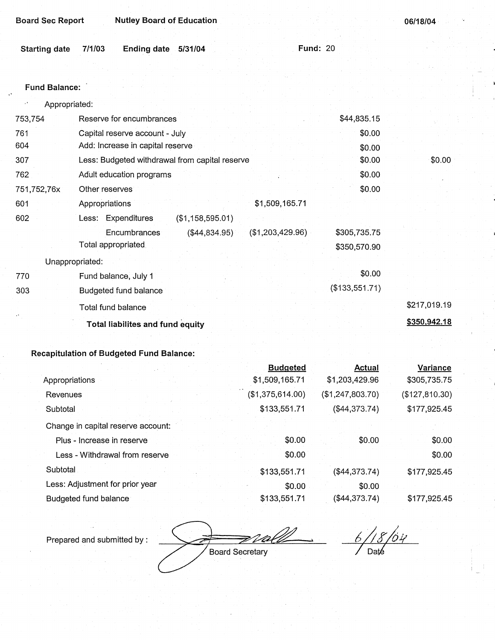| <b>Board Sec Report</b> | <b>Nutley Board of Education</b>               |                  |                 | 06/18/04     |
|-------------------------|------------------------------------------------|------------------|-----------------|--------------|
| <b>Starting date</b>    | 7/1/03<br><b>Ending date</b><br>5/31/04        |                  | <b>Fund: 20</b> |              |
|                         |                                                |                  |                 |              |
| <b>Fund Balance:</b>    |                                                |                  |                 |              |
| Appropriated:           |                                                |                  |                 |              |
| 753,754                 | Reserve for encumbrances                       |                  | \$44,835.15     |              |
| 761                     | Capital reserve account - July                 |                  | \$0.00          |              |
| 604                     | Add: Increase in capital reserve               |                  | \$0.00          |              |
| 307                     | Less: Budgeted withdrawal from capital reserve |                  | \$0.00          | \$0.00       |
| 762                     | Adult education programs                       |                  | \$0.00          |              |
| 751,752,76x             | Other reserves                                 |                  | \$0.00          |              |
| 601                     | Appropriations                                 | \$1,509,165.71   |                 |              |
| 602                     | Less: Expenditures<br>(\$1,158,595.01)         |                  |                 |              |
|                         | ( \$44, 834.95)<br>Encumbrances                | (\$1,203,429.96) | \$305,735.75    |              |
|                         | Total appropriated                             |                  | \$350,570.90    |              |
|                         | Unappropriated:                                |                  |                 |              |
| 770                     | Fund balance, July 1                           |                  | \$0.00          |              |
| 303                     | Budgeted fund balance                          |                  | (\$133,551.71)  |              |
|                         | Total fund balance                             |                  |                 | \$217,019.19 |
|                         | Total liabilites and fund equity               |                  |                 | \$350,942.18 |

|                                    | <b>Budgeted</b>  | <b>Actual</b>    | Variance       |
|------------------------------------|------------------|------------------|----------------|
| Appropriations                     | \$1,509,165.71   | \$1,203,429.96   | \$305,735.75   |
| Revenues                           | (\$1,375,614.00) | (\$1,247,803.70) | (\$127,810.30) |
| Subtotal                           | \$133,551.71     | (\$44,373.74)    | \$177,925.45   |
| Change in capital reserve account: |                  |                  |                |
| Plus - Increase in reserve         | \$0.00           | \$0.00           | \$0.00         |
| Less - Withdrawal from reserve     | \$0.00           |                  | \$0.00         |
| Subtotal                           | \$133,551.71     | ( \$44, 373.74)  | \$177,925.45   |
| Less: Adjustment for prior year    | \$0.00           | \$0.00           |                |
| Budgeted fund balance              | \$133,551.71     | (\$44,373.74)    | \$177,925.45   |

Prepared and submitted by :

F) 7 A.T Board Secretary

... *6/18/64*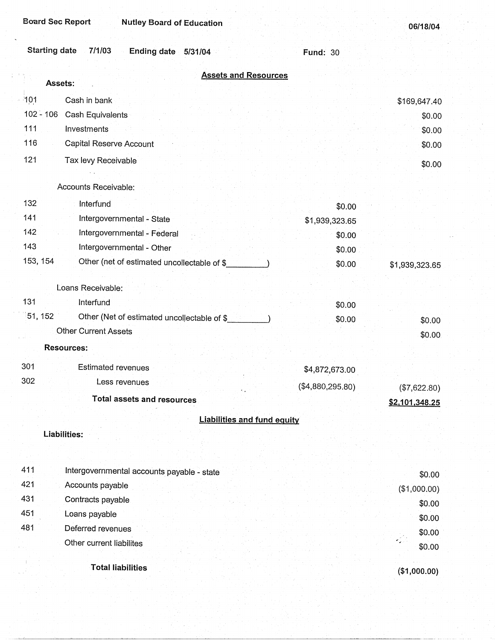**06/18/04** 

|          | <b>Starting date</b><br>7/1/03<br>Ending date 5/31/04                      | <b>Fund: 30</b>  |                |
|----------|----------------------------------------------------------------------------|------------------|----------------|
|          | <b>Assets and Resources</b><br>Assets:                                     |                  |                |
|          |                                                                            |                  |                |
| 101      | Cash in bank<br>$102 - 106$                                                |                  | \$169,647.40   |
| 111      | Cash Equivalents<br>Investments                                            |                  | \$0.00         |
| 116      | Capital Reserve Account                                                    |                  | \$0.00         |
| 121      |                                                                            |                  | \$0.00         |
|          | Tax levy Receivable                                                        |                  | \$0.00         |
|          | Accounts Receivable:                                                       |                  |                |
| 132      | Interfund                                                                  | \$0.00           |                |
| 141      | Intergovernmental - State                                                  | \$1,939,323.65   |                |
| 142      | Intergovernmental - Federal                                                | \$0.00           |                |
| 143      | Intergovernmental - Other                                                  | \$0.00           |                |
| 153, 154 | Other (net of estimated uncollectable of \$                                | \$0.00           | \$1,939,323.65 |
|          |                                                                            |                  |                |
| 131      | Loans Receivable:                                                          |                  |                |
|          | Interfund<br>51, 152                                                       | \$0.00           |                |
|          | Other (Net of estimated uncollectable of \$<br><b>Other Current Assets</b> | \$0.00           | \$0.00         |
|          |                                                                            |                  | \$0.00         |
|          | <b>Resources:</b>                                                          |                  |                |
| 301      | <b>Estimated revenues</b>                                                  | \$4,872,673.00   |                |
| 302      | Less revenues                                                              | (\$4,880,295.80) | $(\$7,622.80)$ |
|          | <b>Total assets and resources</b>                                          |                  | \$2,101,348.25 |
|          | <b>Liabilities and fund equity</b>                                         |                  |                |
|          | Liabilities:                                                               |                  |                |
|          |                                                                            |                  |                |
| 411      | Intergovernmental accounts payable - state                                 |                  | \$0.00         |
| 421      | Accounts payable                                                           |                  | (\$1,000.00)   |
| 431      | Contracts payable                                                          |                  | \$0.00         |
| 451      | Loans payable                                                              |                  | \$0.00         |
| 481      | Deferred revenues                                                          |                  | \$0.00         |
|          | Other current liabilites                                                   |                  | \$0.00         |
|          | <b>Total liabilities</b>                                                   |                  | (\$1,000.00)   |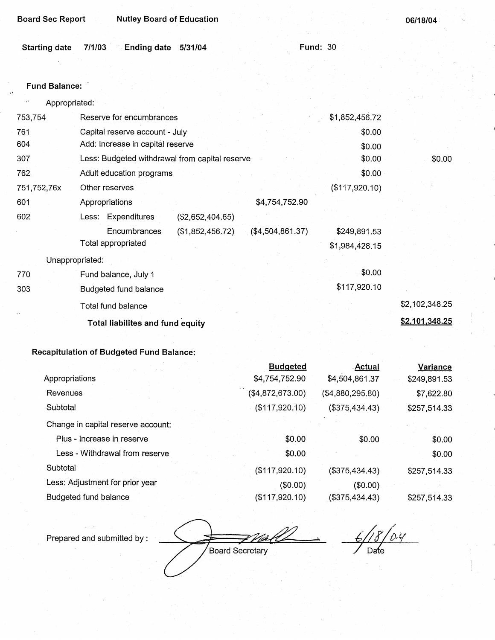| <b>Starting date</b><br><b>Fund Balance:</b> | 7/1/03<br><b>Ending date</b><br>5/31/04        | <b>Fund: 30</b>   |                |                |
|----------------------------------------------|------------------------------------------------|-------------------|----------------|----------------|
|                                              |                                                |                   |                |                |
|                                              |                                                |                   |                |                |
|                                              |                                                |                   |                |                |
| Appropriated:                                |                                                |                   |                |                |
| 753,754                                      | Reserve for encumbrances                       |                   | \$1,852,456.72 |                |
| 761                                          | Capital reserve account - July                 |                   | \$0.00         |                |
| 604                                          | Add: Increase in capital reserve               |                   | \$0.00         |                |
| 307                                          | Less: Budgeted withdrawal from capital reserve |                   | \$0.00         | \$0.00         |
| 762                                          | Adult education programs                       |                   | \$0.00         |                |
| 751,752,76x                                  | Other reserves                                 |                   | (\$117,920.10) |                |
| 601                                          | Appropriations                                 | \$4,754,752.90    |                |                |
| 602                                          | Less: Expenditures<br>(\$2,652,404.65)         |                   |                |                |
|                                              | Encumbrances<br>(\$1,852,456.72)               | ( \$4,504,861.37) | \$249,891.53   |                |
|                                              | <b>Total appropriated</b>                      |                   | \$1,984,428.15 |                |
| Unappropriated:                              |                                                |                   |                |                |
| 770                                          | Fund balance, July 1                           |                   | \$0.00         |                |
| 303                                          | Budgeted fund balance                          |                   | \$117,920.10   |                |
|                                              | Total fund balance                             |                   |                | \$2,102,348.25 |
|                                              | <b>Total liabilites and fund equity</b>        |                   |                | \$2,101,348.25 |

|                                    | <b>Budgeted</b>  | <b>Actual</b>     | Variance     |
|------------------------------------|------------------|-------------------|--------------|
| Appropriations                     | \$4,754,752.90   | \$4,504,861.37    | \$249,891.53 |
| Revenues                           | (\$4,872,673.00) | ( \$4,880,295.80) | \$7,622.80   |
| Subtotal                           | (\$117,920.10)   | (\$375,434.43)    | \$257,514.33 |
| Change in capital reserve account: |                  |                   |              |
| Plus - Increase in reserve         | \$0.00           | \$0.00            | \$0.00       |
| Less - Withdrawal from reserve     | \$0.00           |                   | \$0.00       |
| Subtotal                           | (\$117,920.10)   | (\$375,434.43)    | \$257,514.33 |
| Less: Adjustment for prior year    | $($ \$0.00)      | (\$0.00)          |              |
| Budgeted fund balance              | (\$117,920.10)   | $($ \$375,434.43) | \$257,514.33 |

Prepared and submitted by:

Board Secretary

t/18/0.4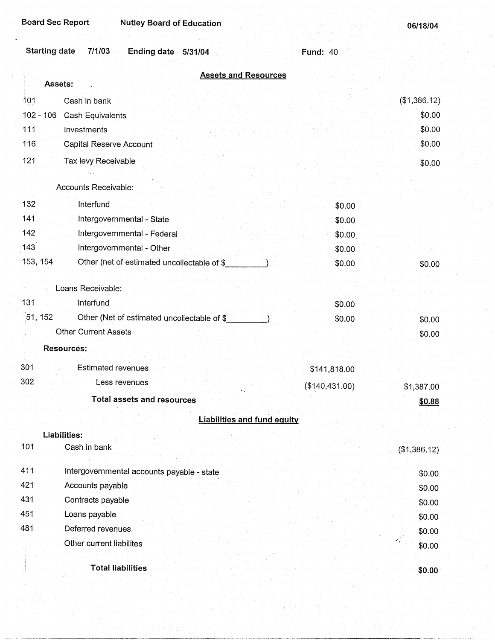| <b>Board Sec Report</b><br><b>Nutley Board of Education</b>     |                 | 06/18/04     |
|-----------------------------------------------------------------|-----------------|--------------|
| <b>Starting date</b><br>7/1/03<br><b>Ending date</b><br>5/31/04 | <b>Fund: 40</b> |              |
| <b>Assets and Resources</b><br>Assets:                          |                 |              |
| Cash in bank<br>101                                             |                 | (\$1,386.12) |
| $102 - 106$<br>Cash Equivalents                                 |                 | \$0.00       |
| 111<br>Investments                                              |                 | \$0.00       |
| 116<br>Capital Reserve Account                                  |                 | \$0.00       |
| 121<br>Tax levy Receivable                                      |                 | \$0.00       |
|                                                                 |                 |              |
| Accounts Receivable:                                            |                 |              |
| 132<br>Interfund                                                | \$0.00          |              |
| 141<br>Intergovernmental - State                                | \$0.00          |              |
| 142<br>Intergovernmental - Federal                              | \$0.00          |              |
| 143<br>Intergovernmental - Other                                | \$0.00          |              |
| 153, 154<br>Other (net of estimated uncollectable of \$         | \$0.00          | \$0.00       |
| Loans Receivable:                                               |                 |              |
| 131<br>Interfund                                                | \$0.00          |              |
| 51, 152<br>Other (Net of estimated uncollectable of \$          | \$0.00          | \$0.00       |
| <b>Other Current Assets</b>                                     |                 | \$0.00       |
| <b>Resources:</b>                                               |                 |              |
| 301<br><b>Estimated revenues</b>                                | \$141,818.00    |              |
| 302<br>Less revenues                                            | (\$140,431.00)  | \$1,387.00   |
| <b>Total assets and resources</b>                               |                 | \$0.88       |
| <b>Liabilities and fund equity</b>                              |                 |              |
| Liabilities:                                                    |                 |              |
| 101<br>Cash in bank                                             |                 | (\$1,386.12) |
| 411<br>Intergovernmental accounts payable - state               |                 | \$0.00       |
| 421<br>Accounts payable                                         |                 | \$0.00       |
| 431<br>Contracts payable                                        |                 | \$0.00       |
| 451<br>Loans payable                                            |                 | \$0.00       |
| 481<br>Deferred revenues                                        |                 | \$0.00       |
| Other current liabilites                                        |                 | \$0.00       |
| <b>Total liabilities</b>                                        |                 | \$0.00       |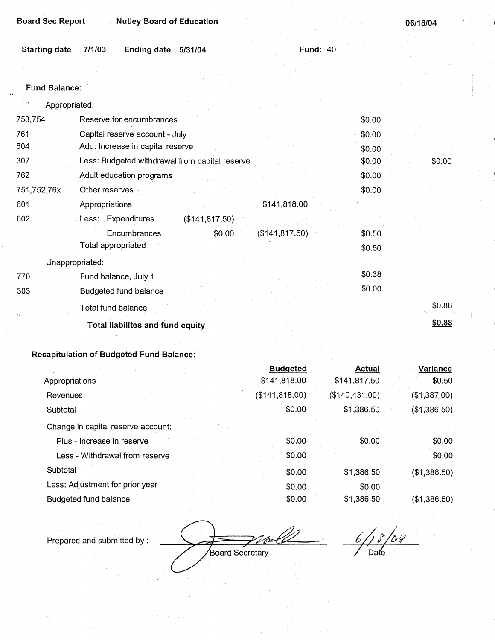| Board Sec Report | <b>Nutley Board of Education</b> |
|------------------|----------------------------------|
|------------------|----------------------------------|

|  | Starting date 7/1/03 Ending date 5/31/04 |  | <b>Fund: 40</b> |
|--|------------------------------------------|--|-----------------|
|  |                                          |  |                 |

### Fund **Balance:**

| Appropriated:<br>11 |                                                |        |        |
|---------------------|------------------------------------------------|--------|--------|
| 753,754             | Reserve for encumbrances                       | \$0.00 |        |
| 761                 | Capital reserve account - July                 | \$0.00 |        |
| 604                 | Add: Increase in capital reserve               | \$0.00 |        |
| 307                 | Less: Budgeted withdrawal from capital reserve | \$0.00 | \$0.00 |
| 762                 | Adult education programs                       | \$0.00 |        |
| 751,752,76x         | Other reserves                                 | \$0.00 |        |
| 601                 | \$141,818.00<br>Appropriations                 |        |        |
| 602                 | Less: Expenditures<br>(\$141, 817.50)          |        |        |
|                     | (\$141, 817.50)<br>Encumbrances<br>\$0.00      | \$0.50 |        |
|                     | Total appropriated                             | \$0.50 |        |
|                     | Unappropriated:                                |        |        |
| 770                 | Fund balance, July 1                           | \$0.38 |        |
| 303                 | Budgeted fund balance                          | \$0.00 |        |
|                     | Total fund balance                             |        | \$0.88 |
|                     | <b>Total liabilites and fund equity</b>        |        | \$0.88 |
|                     |                                                |        |        |

## **Recapitulation of Budgeted Fund Balance:**

|                                    | <b>Budgeted</b> | Actual         | Variance     |
|------------------------------------|-----------------|----------------|--------------|
| Appropriations                     | \$141,818.00    | \$141,817.50   | \$0.50       |
| Revenues                           | (\$141, 818.00) | (\$140,431.00) | (\$1,387.00) |
| Subtotal                           | \$0.00          | \$1,386.50     | (\$1,386.50) |
| Change in capital reserve account: |                 |                |              |
| Plus - Increase in reserve         | \$0.00          | \$0.00         | \$0.00       |
| Less - Withdrawal from reserve     | \$0.00          |                | \$0.00       |
| Subtotal                           | \$0.00          | \$1,386.50     | (\$1,386.50) |
| Less: Adjustment for prior year    | \$0.00          | \$0.00         |              |
| Budgeted fund balance              | \$0.00          | \$1,386.50     | (\$1,386.50) |

Prepared and submitted by :

Board Secretary

 $6/18/04$ Date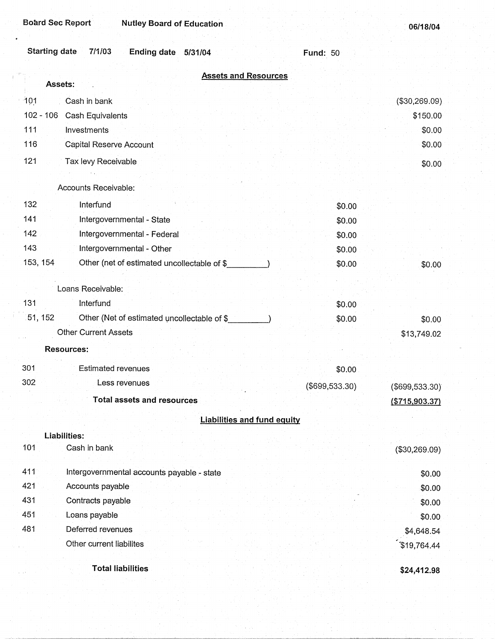| <b>Board Sec Report</b><br><b>Nutley Board of Education</b>     |                 | 06/18/04          |
|-----------------------------------------------------------------|-----------------|-------------------|
| <b>Starting date</b><br>7/1/03<br><b>Ending date</b><br>5/31/04 | <b>Fund: 50</b> |                   |
| <b>Assets and Resources</b>                                     |                 |                   |
| Assets:                                                         |                 |                   |
| 101<br>Cash in bank                                             |                 | (\$30,269.09)     |
| $102 - 106$<br>Cash Equivalents                                 |                 | \$150.00          |
| 111<br>Investments                                              |                 | \$0.00            |
| 116<br>Capital Reserve Account                                  |                 | \$0.00            |
| 121<br>Tax levy Receivable                                      |                 | \$0.00            |
| Accounts Receivable:                                            |                 |                   |
|                                                                 |                 |                   |
| 132<br>Interfund                                                | \$0.00          |                   |
| 141<br>Intergovernmental - State                                | \$0.00          |                   |
| 142<br>Intergovernmental - Federal                              | \$0.00          |                   |
| 143<br>Intergovernmental - Other                                | \$0.00          |                   |
| 153, 154<br>Other (net of estimated uncollectable of \$         | \$0.00          | \$0.00            |
| Loans Receivable:                                               |                 |                   |
| 131<br>Interfund                                                | \$0.00          |                   |
| 51, 152<br>Other (Net of estimated uncollectable of \$          | \$0.00          |                   |
| <b>Other Current Assets</b>                                     |                 | \$0.00            |
|                                                                 |                 | \$13,749.02       |
| <b>Resources:</b>                                               |                 |                   |
| Estimated revenues<br>301                                       | \$0.00          |                   |
| 302<br>Less revenues                                            | (\$699,533.30)  | $($ \$699,533.30) |
| <b>Total assets and resources</b>                               |                 | ( \$715,903.37)   |
|                                                                 |                 |                   |
| <b>Liabilities and fund equity</b>                              |                 |                   |
| Liabilities:<br>101<br>Cash in bank                             |                 |                   |
|                                                                 |                 | (\$30,269.09)     |
| 411<br>Intergovernmental accounts payable - state               |                 | \$0.00            |
| 421<br>Accounts payable                                         |                 | \$0.00            |
| 431<br>Contracts payable                                        |                 | \$0.00            |
| 451<br>Loans payable                                            |                 | \$0.00            |
| 481<br>Deferred revenues                                        |                 | \$4,648.54        |
| Other current liabilites                                        |                 | \$19,764.44       |
|                                                                 |                 |                   |
| <b>Total liabilities</b>                                        |                 | \$24,412.98       |

 $\begin{bmatrix} 1 \\ 1 \\ 1 \end{bmatrix}$ 

 $\sim$ 

H.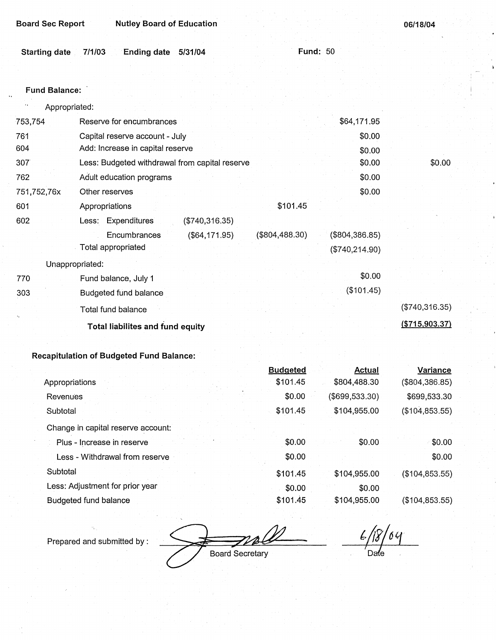| <b>Board Sec Report</b> | <b>Nutley Board of Education</b> |
|-------------------------|----------------------------------|
|-------------------------|----------------------------------|

| 06/18/04 |  |  |
|----------|--|--|
|          |  |  |

|  | Starting date 7/1/03 Ending date 5/31/04 |  | <b>Fund: 50</b> |
|--|------------------------------------------|--|-----------------|
|  |                                          |  |                 |

#### **Fund Balance:**

| $\mathbf{r}$ ,<br>Appropriated: |                                                    |                |                  |
|---------------------------------|----------------------------------------------------|----------------|------------------|
| 753,754                         | Reserve for encumbrances                           | \$64,171.95    |                  |
| 761                             | Capital reserve account - July                     | \$0.00         |                  |
| 604                             | Add: Increase in capital reserve                   | \$0.00         |                  |
| 307                             | Less: Budgeted withdrawal from capital reserve     | \$0.00         | \$0.00           |
| 762                             | Adult education programs                           | \$0.00         |                  |
| 751,752,76x                     | Other reserves                                     | \$0.00         |                  |
| 601                             | \$101.45<br>Appropriations                         |                |                  |
| 602                             | Less: Expenditures<br>(\$740,316.35)               |                |                  |
|                                 | $($ \$804,488.30)<br>Encumbrances<br>(\$64,171.95) | (\$804,386.85) |                  |
|                                 | Total appropriated                                 | (\$740,214.90) |                  |
|                                 | Unappropriated:                                    |                |                  |
| 770                             | Fund balance, July 1                               | \$0.00         |                  |
| 303                             | <b>Budgeted fund balance</b>                       | (\$101.45)     |                  |
|                                 | Total fund balance                                 |                | (\$740,316.35)   |
|                                 | <b>Total liabilites and fund equity</b>            |                | ( \$715, 903.37) |
|                                 |                                                    |                |                  |

## **Recapitulation of Budgeted Fund Balance:**

|                                    | <b>Budgeted</b> | <b>Actual</b>   | Variance        |
|------------------------------------|-----------------|-----------------|-----------------|
| Appropriations                     | \$101.45        | \$804,488.30    | (\$804,386.85)  |
| Revenues                           | \$0.00          | (\$699, 533.30) | \$699,533.30    |
| Subtotal                           | \$101.45        | \$104,955.00    | (\$104, 853.55) |
| Change in capital reserve account: |                 |                 |                 |
| Plus - Increase in reserve         | \$0.00          | \$0.00          | \$0.00          |
| Less - Withdrawal from reserve     | \$0.00          |                 | \$0.00          |
| Subtotal                           | \$101.45        | \$104,955.00    | (\$104, 853.55) |
| Less: Adjustment for prior year    | \$0.00          | \$0.00          |                 |
| Budgeted fund balance              | \$101.45        | \$104,955.00    | (\$104, 853.55) |

Prepared and submitted by :<br>
Board Secretary

 $\sqrt{3}/69$  $\mathcal{L}/$ Date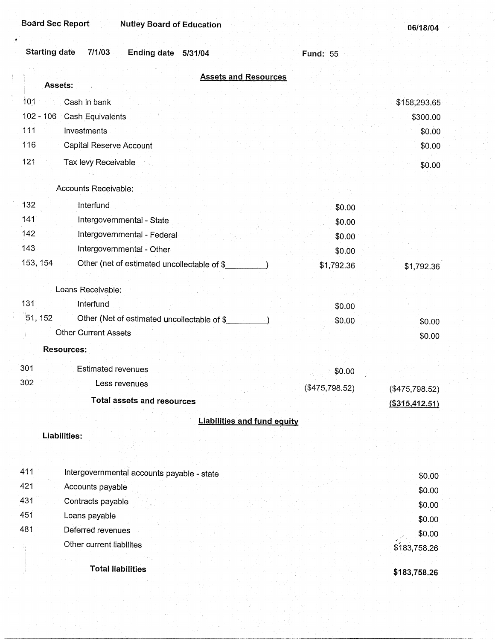| <b>Starting date</b><br>7/1/03<br>Ending date 5/31/04   | <b>Fund: 55</b>   |                  |
|---------------------------------------------------------|-------------------|------------------|
| <b>Assets and Resources</b><br>Assets:                  |                   |                  |
| 101<br>Cash in bank                                     |                   | \$158,293.65     |
| $102 - 106$<br>Cash Equivalents                         |                   | \$300.00         |
| 111<br>Investments                                      |                   | \$0.00           |
| 116<br>Capital Reserve Account                          |                   | \$0.00           |
| 121<br>Tax levy Receivable                              |                   | \$0.00           |
|                                                         |                   |                  |
| Accounts Receivable:                                    |                   |                  |
| 132<br>Interfund                                        | \$0.00            |                  |
| 141<br>Intergovernmental - State                        | \$0.00            |                  |
| 142<br>Intergovernmental - Federal                      | \$0.00            |                  |
| 143<br>Intergovernmental - Other                        | \$0.00            |                  |
| 153, 154<br>Other (net of estimated uncollectable of \$ | \$1,792.36        | \$1,792.36       |
| Loans Receivable:                                       |                   |                  |
| 131<br>Interfund                                        | \$0.00            |                  |
| 51, 152<br>Other (Net of estimated uncollectable of \$  | \$0.00            | \$0.00           |
| <b>Other Current Assets</b>                             |                   | \$0.00           |
| <b>Resources:</b>                                       |                   |                  |
| 301<br><b>Estimated revenues</b>                        | \$0.00            |                  |
| 302<br>Less revenues                                    | $($ \$475,798.52) | (\$475,798.52)   |
| Total assets and resources                              |                   | ( \$315, 412.51) |
| <b>Liabilities and fund equity</b>                      |                   |                  |
| Liabilities:                                            |                   |                  |
| 411<br>Intergovernmental accounts payable - state       |                   | \$0.00           |
| 421<br>Accounts payable                                 |                   | \$0.00           |
| 431<br>Contracts payable                                |                   | \$0.00           |
| 451<br>Loans payable                                    |                   | \$0.00           |
| 481<br>Deferred revenues                                |                   | 2000             |

Other current liabilites

**Total liabilities** 

**\$183,758.26** 

 $\overline{\$}183,758.26$ 

\$0.00